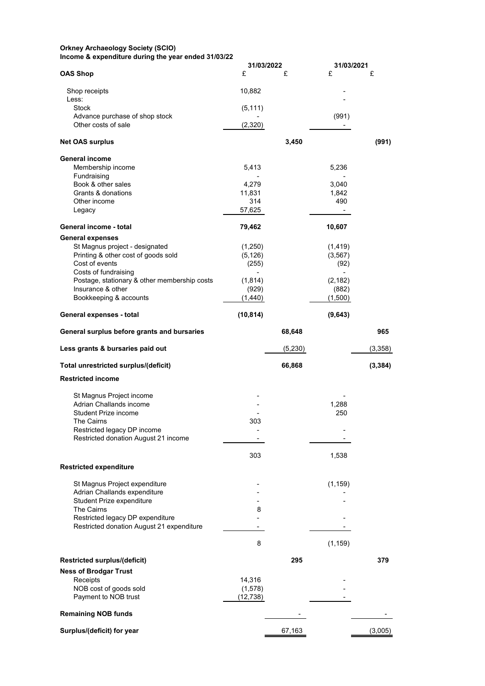## **Orkney Archaeology Society (SCIO) Income & expenditure during the year ended 31/03/22**

|                                                                       | 31/03/2022          |         | 31/03/2021           |          |
|-----------------------------------------------------------------------|---------------------|---------|----------------------|----------|
| <b>OAS Shop</b>                                                       | £                   | £       | £                    | £        |
|                                                                       |                     |         |                      |          |
| Shop receipts<br>Less:                                                | 10,882              |         |                      |          |
| <b>Stock</b>                                                          | (5, 111)            |         |                      |          |
| Advance purchase of shop stock                                        |                     |         | (991)                |          |
| Other costs of sale                                                   | (2,320)             |         |                      |          |
| <b>Net OAS surplus</b>                                                |                     | 3,450   |                      | (991)    |
|                                                                       |                     |         |                      |          |
| <b>General income</b>                                                 |                     |         |                      |          |
| Membership income<br>Fundraising                                      | 5,413               |         | 5,236                |          |
| Book & other sales                                                    | 4,279               |         | 3,040                |          |
| Grants & donations                                                    | 11,831              |         | 1,842                |          |
| Other income                                                          | 314                 |         | 490                  |          |
| Legacy                                                                | 57,625              |         | $\blacksquare$       |          |
|                                                                       |                     |         |                      |          |
| General income - total                                                | 79,462              |         | 10,607               |          |
| <b>General expenses</b>                                               |                     |         |                      |          |
| St Magnus project - designated<br>Printing & other cost of goods sold | (1,250)<br>(5, 126) |         | (1, 419)<br>(3, 567) |          |
| Cost of events                                                        | (255)               |         | (92)                 |          |
| Costs of fundraising                                                  |                     |         |                      |          |
| Postage, stationary & other membership costs                          | (1, 814)            |         | (2, 182)             |          |
| Insurance & other                                                     | (929)               |         | (882)                |          |
| Bookkeeping & accounts                                                | (1,440)             |         | (1,500)              |          |
| General expenses - total                                              | (10, 814)           |         | (9,643)              |          |
| General surplus before grants and bursaries                           |                     | 68,648  |                      | 965      |
| Less grants & bursaries paid out                                      |                     | (5,230) |                      | (3,358)  |
| Total unrestricted surplus/(deficit)                                  |                     | 66,868  |                      | (3, 384) |
| <b>Restricted income</b>                                              |                     |         |                      |          |
|                                                                       |                     |         |                      |          |
| St Magnus Project income<br>Adrian Challands income                   |                     |         | 1,288                |          |
| Student Prize income                                                  |                     |         | 250                  |          |
| The Cairns                                                            | 303                 |         |                      |          |
| Restricted legacy DP income                                           |                     |         |                      |          |
| Restricted donation August 21 income                                  |                     |         |                      |          |
|                                                                       |                     |         |                      |          |
|                                                                       | 303                 |         | 1,538                |          |
| <b>Restricted expenditure</b>                                         |                     |         |                      |          |
| St Magnus Project expenditure                                         |                     |         | (1, 159)             |          |
| Adrian Challands expenditure                                          |                     |         |                      |          |
| Student Prize expenditure                                             |                     |         |                      |          |
| The Cairns                                                            | 8                   |         |                      |          |
| Restricted legacy DP expenditure                                      |                     |         |                      |          |
| Restricted donation August 21 expenditure                             |                     |         |                      |          |
|                                                                       | 8                   |         | (1, 159)             |          |
|                                                                       |                     | 295     |                      | 379      |
| <b>Restricted surplus/(deficit)</b>                                   |                     |         |                      |          |
| <b>Ness of Brodgar Trust</b><br>Receipts                              | 14,316              |         |                      |          |
| NOB cost of goods sold                                                | (1, 578)            |         |                      |          |
| Payment to NOB trust                                                  | (12, 738)           |         |                      |          |
|                                                                       |                     |         |                      |          |
| <b>Remaining NOB funds</b>                                            |                     |         |                      |          |
| Surplus/(deficit) for year                                            |                     | 67,163  |                      | (3,005)  |